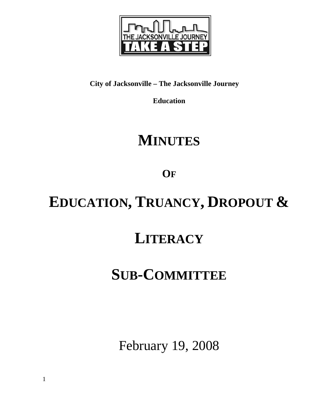

## **City of Jacksonville – The Jacksonville Journey**

**Education** 

# **MINUTES**

**OF**

# **EDUCATION, TRUANCY, DROPOUT &**

## **LITERACY**

# **SUB-COMMITTEE**

February 19, 2008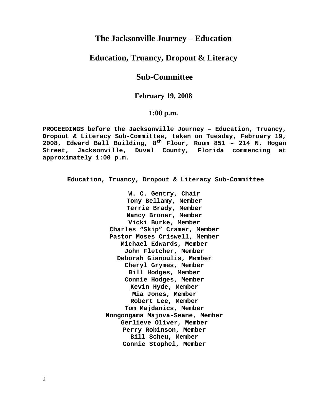## **The Jacksonville Journey – Education**

## **Education, Truancy, Dropout & Literacy**

## **Sub-Committee**

## **February 19, 2008**

## **1:00 p.m.**

**PROCEEDINGS before the Jacksonville Journey – Education, Truancy, Dropout & Literacy Sub-Committee, taken on Tuesday, February 19, 2008, Edward Ball Building, 8th Floor, Room 851 – 214 N. Hogan Street, Jacksonville, Duval County, Florida commencing at approximately 1:00 p.m.** 

**Education, Truancy, Dropout & Literacy Sub-Committee** 

**W. C. Gentry, Chair Tony Bellamy, Member Terrie Brady, Member Nancy Broner, Member Vicki Burke, Member Charles "Skip" Cramer, Member Pastor Moses Criswell, Member Michael Edwards, Member John Fletcher, Member Deborah Gianoulis, Member Cheryl Grymes, Member Bill Hodges, Member Connie Hodges, Member Kevin Hyde, Member Mia Jones, Member Robert Lee, Member Tom Majdanics, Member Nongongama Majova-Seane, Member Gerlieve Oliver, Member Perry Robinson, Member Bill Scheu, Member Connie Stophel, Member**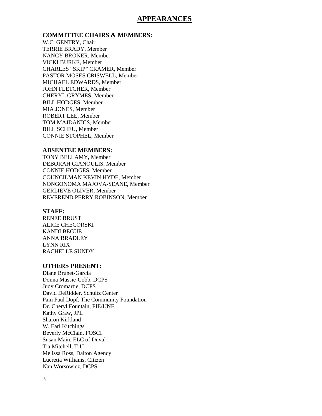## **APPEARANCES**

#### **COMMITTEE CHAIRS & MEMBERS:**

W.C. GENTRY, Chair TERRIE BRADY, Member NANCY BRONER, Member VICKI BURKE, Member CHARLES "SKIP" CRAMER, Member PASTOR MOSES CRISWELL, Member MICHAEL EDWARDS, Member JOHN FLETCHER, Member CHERYL GRYMES, Member BILL HODGES, Member MIA JONES, Member ROBERT LEE, Member TOM MAJDANICS, Member BILL SCHEU, Member CONNIE STOPHEL, Member

## **ABSENTEE MEMBERS:**

TONY BELLAMY, Member DEBORAH GIANOULIS, Member CONNIE HODGES, Member COUNCILMAN KEVIN HYDE, Member NONGONOMA MAJOVA-SEANE, Member GERLIEVE OLIVER, Member REVEREND PERRY ROBINSON, Member

#### **STAFF:**

RENEE BRUST ALICE CHECORSKI KANDI BEGUE ANNA BRADLEY LYNN RIX RACHELLE SUNDY

## **OTHERS PRESENT:**

Diane Brunet-Garcia Donna Massie-Cobb, DCPS Judy Cromartie, DCPS David DeRidder, Schultz Center Pam Paul Dopf, The Community Foundation Dr. Cheryl Fountain, FIE/UNF Kathy Graw, JPL Sharon Kirkland W. Earl Kitchings Beverly McClain, FOSCI Susan Main, ELC of Duval Tia Mitchell, T-U Melissa Ross, Dalton Agency Lucretia Williams, Citizen Nan Worsowicz, DCPS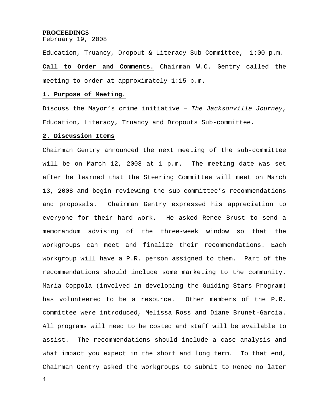#### **PROCEEDINGS**

February 19, 2008

Education, Truancy, Dropout & Literacy Sub-Committee, 1:00 p.m.

**Call to Order and Comments.** Chairman W.C. Gentry called the meeting to order at approximately 1:15 p.m.

#### **1. Purpose of Meeting.**

Discuss the Mayor's crime initiative – *The Jacksonville Journey*, Education, Literacy, Truancy and Dropouts Sub-committee.

#### **2. Discussion Items**

Chairman Gentry announced the next meeting of the sub-committee will be on March 12, 2008 at 1 p.m. The meeting date was set after he learned that the Steering Committee will meet on March 13, 2008 and begin reviewing the sub-committee's recommendations and proposals. Chairman Gentry expressed his appreciation to everyone for their hard work. He asked Renee Brust to send a memorandum advising of the three-week window so that the workgroups can meet and finalize their recommendations. Each workgroup will have a P.R. person assigned to them. Part of the recommendations should include some marketing to the community. Maria Coppola (involved in developing the Guiding Stars Program) has volunteered to be a resource. Other members of the P.R. committee were introduced, Melissa Ross and Diane Brunet-Garcia. All programs will need to be costed and staff will be available to assist. The recommendations should include a case analysis and what impact you expect in the short and long term. To that end, Chairman Gentry asked the workgroups to submit to Renee no later

4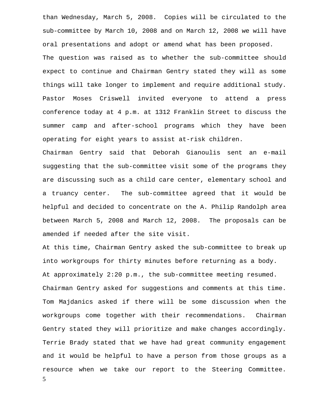than Wednesday, March 5, 2008. Copies will be circulated to the sub-committee by March 10, 2008 and on March 12, 2008 we will have oral presentations and adopt or amend what has been proposed. The question was raised as to whether the sub-committee should expect to continue and Chairman Gentry stated they will as some things will take longer to implement and require additional study. Pastor Moses Criswell invited everyone to attend a press conference today at 4 p.m. at 1312 Franklin Street to discuss the summer camp and after-school programs which they have been operating for eight years to assist at-risk children.

Chairman Gentry said that Deborah Gianoulis sent an e-mail suggesting that the sub-committee visit some of the programs they are discussing such as a child care center, elementary school and a truancy center. The sub-committee agreed that it would be helpful and decided to concentrate on the A. Philip Randolph area between March 5, 2008 and March 12, 2008. The proposals can be amended if needed after the site visit.

At this time, Chairman Gentry asked the sub-committee to break up into workgroups for thirty minutes before returning as a body. At approximately 2:20 p.m., the sub-committee meeting resumed. Chairman Gentry asked for suggestions and comments at this time. Tom Majdanics asked if there will be some discussion when the workgroups come together with their recommendations. Chairman Gentry stated they will prioritize and make changes accordingly. Terrie Brady stated that we have had great community engagement and it would be helpful to have a person from those groups as a resource when we take our report to the Steering Committee.

5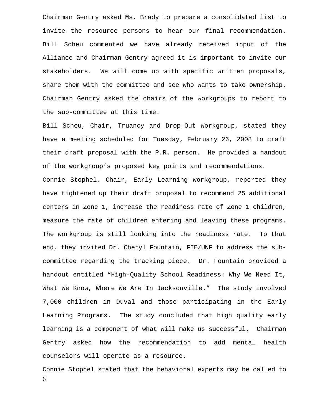Chairman Gentry asked Ms. Brady to prepare a consolidated list to invite the resource persons to hear our final recommendation. Bill Scheu commented we have already received input of the Alliance and Chairman Gentry agreed it is important to invite our stakeholders. We will come up with specific written proposals, share them with the committee and see who wants to take ownership. Chairman Gentry asked the chairs of the workgroups to report to the sub-committee at this time.

Bill Scheu, Chair, Truancy and Drop-Out Workgroup, stated they have a meeting scheduled for Tuesday, February 26, 2008 to craft their draft proposal with the P.R. person. He provided a handout of the workgroup's proposed key points and recommendations.

Connie Stophel, Chair, Early Learning workgroup, reported they have tightened up their draft proposal to recommend 25 additional centers in Zone 1, increase the readiness rate of Zone 1 children, measure the rate of children entering and leaving these programs. The workgroup is still looking into the readiness rate. To that end, they invited Dr. Cheryl Fountain, FIE/UNF to address the subcommittee regarding the tracking piece. Dr. Fountain provided a handout entitled "High-Quality School Readiness: Why We Need It, What We Know, Where We Are In Jacksonville." The study involved 7,000 children in Duval and those participating in the Early Learning Programs. The study concluded that high quality early learning is a component of what will make us successful. Chairman Gentry asked how the recommendation to add mental health counselors will operate as a resource.

6 Connie Stophel stated that the behavioral experts may be called to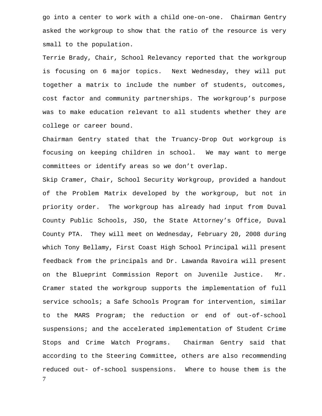go into a center to work with a child one-on-one. Chairman Gentry asked the workgroup to show that the ratio of the resource is very small to the population.

Terrie Brady, Chair, School Relevancy reported that the workgroup is focusing on 6 major topics. Next Wednesday, they will put together a matrix to include the number of students, outcomes, cost factor and community partnerships. The workgroup's purpose was to make education relevant to all students whether they are college or career bound.

Chairman Gentry stated that the Truancy-Drop Out workgroup is focusing on keeping children in school. We may want to merge committees or identify areas so we don't overlap.

7 Skip Cramer, Chair, School Security Workgroup, provided a handout of the Problem Matrix developed by the workgroup, but not in priority order. The workgroup has already had input from Duval County Public Schools, JSO, the State Attorney's Office, Duval County PTA. They will meet on Wednesday, February 20, 2008 during which Tony Bellamy, First Coast High School Principal will present feedback from the principals and Dr. Lawanda Ravoira will present on the Blueprint Commission Report on Juvenile Justice. Mr. Cramer stated the workgroup supports the implementation of full service schools; a Safe Schools Program for intervention, similar to the MARS Program; the reduction or end of out-of-school suspensions; and the accelerated implementation of Student Crime Stops and Crime Watch Programs. Chairman Gentry said that according to the Steering Committee, others are also recommending reduced out- of-school suspensions. Where to house them is the